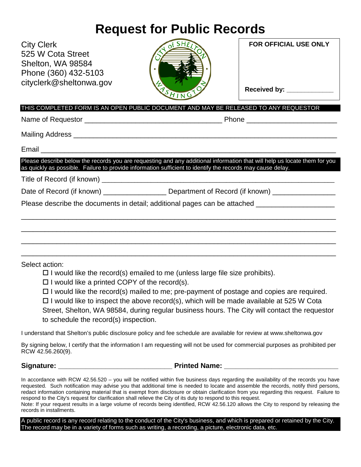# **Request for Public Records**

| <b>City Clerk</b><br>525 W Cota Street<br>Shelton, WA 98584<br>Phone (360) 432-5103<br>cityclerk@sheltonwa.gov                                                                                                                                                                                                                     | of SHE<br>ASHING                                                                               | <b>FOR OFFICIAL USE ONLY</b><br>Received by: ____________ |  |  |  |  |
|------------------------------------------------------------------------------------------------------------------------------------------------------------------------------------------------------------------------------------------------------------------------------------------------------------------------------------|------------------------------------------------------------------------------------------------|-----------------------------------------------------------|--|--|--|--|
| THIS COMPLETED FORM IS AN OPEN PUBLIC DOCUMENT AND MAY BE RELEASED TO ANY REQUESTOR                                                                                                                                                                                                                                                |                                                                                                |                                                           |  |  |  |  |
|                                                                                                                                                                                                                                                                                                                                    |                                                                                                |                                                           |  |  |  |  |
|                                                                                                                                                                                                                                                                                                                                    |                                                                                                |                                                           |  |  |  |  |
|                                                                                                                                                                                                                                                                                                                                    |                                                                                                |                                                           |  |  |  |  |
| Please describe below the records you are requesting and any additional information that will help us locate them for you<br>as quickly as possible. Failure to provide information sufficient to identify the records may cause delay.                                                                                            |                                                                                                |                                                           |  |  |  |  |
|                                                                                                                                                                                                                                                                                                                                    |                                                                                                |                                                           |  |  |  |  |
|                                                                                                                                                                                                                                                                                                                                    | Date of Record (if known) ___________________ Department of Record (if known) ________________ |                                                           |  |  |  |  |
| Please describe the documents in detail; additional pages can be attached __________________________                                                                                                                                                                                                                               |                                                                                                |                                                           |  |  |  |  |
|                                                                                                                                                                                                                                                                                                                                    |                                                                                                |                                                           |  |  |  |  |
| Select action:                                                                                                                                                                                                                                                                                                                     |                                                                                                |                                                           |  |  |  |  |
|                                                                                                                                                                                                                                                                                                                                    | $\Box$ I would like the record(s) emailed to me (unless large file size prohibits).            |                                                           |  |  |  |  |
| $\Box$ I would like a printed COPY of the record(s).                                                                                                                                                                                                                                                                               |                                                                                                |                                                           |  |  |  |  |
| $\Box$ I would like the record(s) mailed to me; pre-payment of postage and copies are required.<br>$\Box$ I would like to inspect the above record(s), which will be made available at 525 W Cota                                                                                                                                  |                                                                                                |                                                           |  |  |  |  |
| $\overline{1}$ and $\overline{1}$ and $\overline{1}$ and $\overline{1}$ and $\overline{1}$ and $\overline{1}$ and $\overline{1}$ and $\overline{1}$ and $\overline{1}$ and $\overline{1}$ and $\overline{1}$ and $\overline{1}$ and $\overline{1}$ and $\overline{1}$ and $\overline{1}$ and $\overline{1}$ and $\overline{1}$ and |                                                                                                |                                                           |  |  |  |  |

Street, Shelton, WA 98584, during regular business hours. The City will contact the requestor to schedule the record(s) inspection.

I understand that Shelton's public disclosure policy and fee schedule are available for review at www.sheltonwa.gov

By signing below, I certify that the information I am requesting will not be used for commercial purposes as prohibited per RCW 42.56.260(9).

**Signature: \_\_\_\_\_\_\_\_\_\_\_\_\_\_\_\_\_\_\_\_\_\_\_\_\_\_\_\_\_ Printed Name: \_\_\_\_\_\_\_\_\_\_\_\_\_\_\_\_\_\_\_\_\_\_\_\_\_\_\_\_\_** 

In accordance with RCW 42.56.520 – you will be notified within five business days regarding the availability of the records you have requested. Such notification may advise you that additional time is needed to locate and assemble the records, notify third persons, redact information containing material that is exempt from disclosure or obtain clarification from you regarding this request. Failure to respond to the City's request for clarification shall relieve the City of its duty to respond to this request.

Note: If your request results in a large volume of records being identified, RCW 42.56.120 allows the City to respond by releasing the records in installments.

A public record is any record relating to the conduct of the City's business, and which is prepared or retained by the City. The record may be in a variety of forms such as writing, a recording, a picture, electronic data, etc.